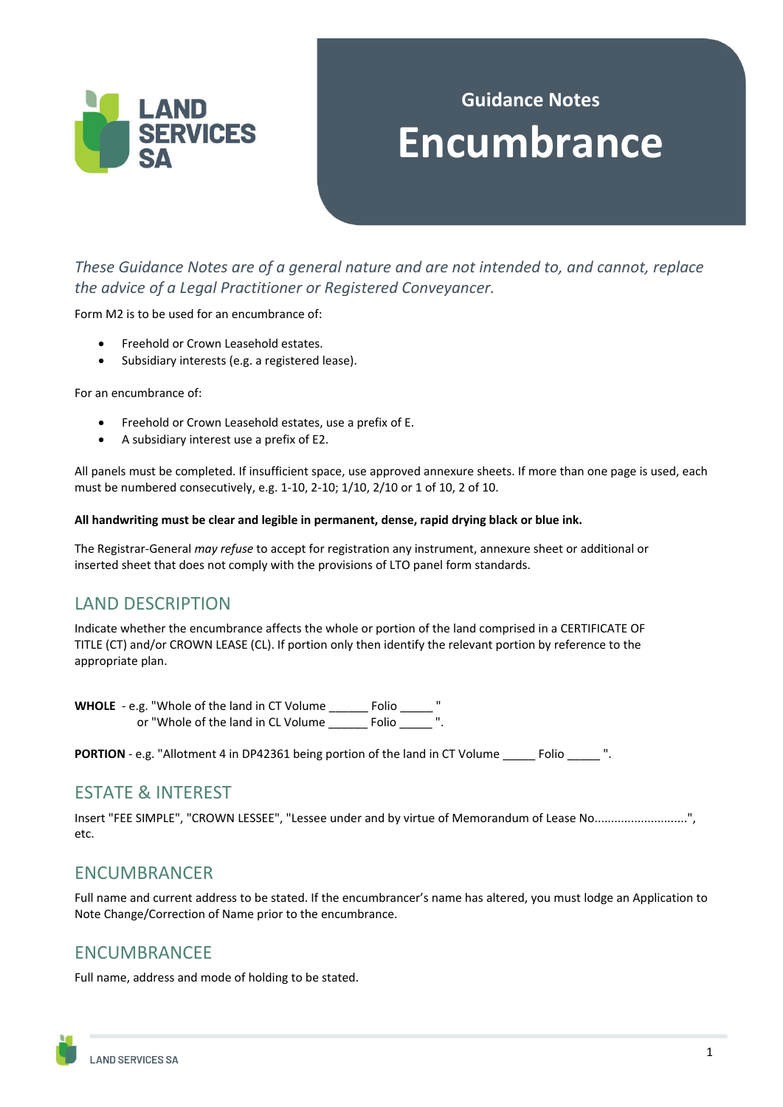

# **Guidance Notes Encumbrance**

*These Guidance Notes are of a general nature and are not intended to, and cannot, replace the advice of a Legal Practitioner or Registered Conveyancer.* 

Form M2 is to be used for an encumbrance of:

- Freehold or Crown Leasehold estates.
- Subsidiary interests (e.g. a registered lease).

For an encumbrance of:

- Freehold or Crown Leasehold estates, use a prefix of E.
- A subsidiary interest use a prefix of E2.

All panels must be completed. If insufficient space, use approved annexure sheets. If more than one page is used, each must be numbered consecutively, e.g. 1-10, 2-10; 1/10, 2/10 or 1 of 10, 2 of 10.

#### **All handwriting must be clear and legible in permanent, dense, rapid drying black or blue ink.**

The Registrar-General *may refuse* to accept for registration any instrument, annexure sheet or additional or inserted sheet that does not comply with the provisions of LTO panel form standards.

#### LAND DESCRIPTION

Indicate whether the encumbrance affects the whole or portion of the land comprised in a CERTIFICATE OF TITLE (CT) and/or CROWN LEASE (CL). If portion only then identify the relevant portion by reference to the appropriate plan.

**WHOLE** - e.g. "Whole of the land in CT Volume \_\_\_\_\_\_ Folio \_\_\_\_\_ " or "Whole of the land in CL Volume \_\_\_\_\_\_ Folio \_\_\_\_\_ ".

**PORTION** - e.g. "Allotment 4 in DP42361 being portion of the land in CT Volume \_\_\_\_\_ Folio \_\_\_\_\_ ".

## ESTATE & INTEREST

Insert "FEE SIMPLE", "CROWN LESSEE", "Lessee under and by virtue of Memorandum of Lease No............................", etc.

#### ENCUMBRANCER

Full name and current address to be stated. If the encumbrancer's name has altered, you must lodge an Application to Note Change/Correction of Name prior to the encumbrance.

#### ENCUMBRANCEE

Full name, address and mode of holding to be stated.